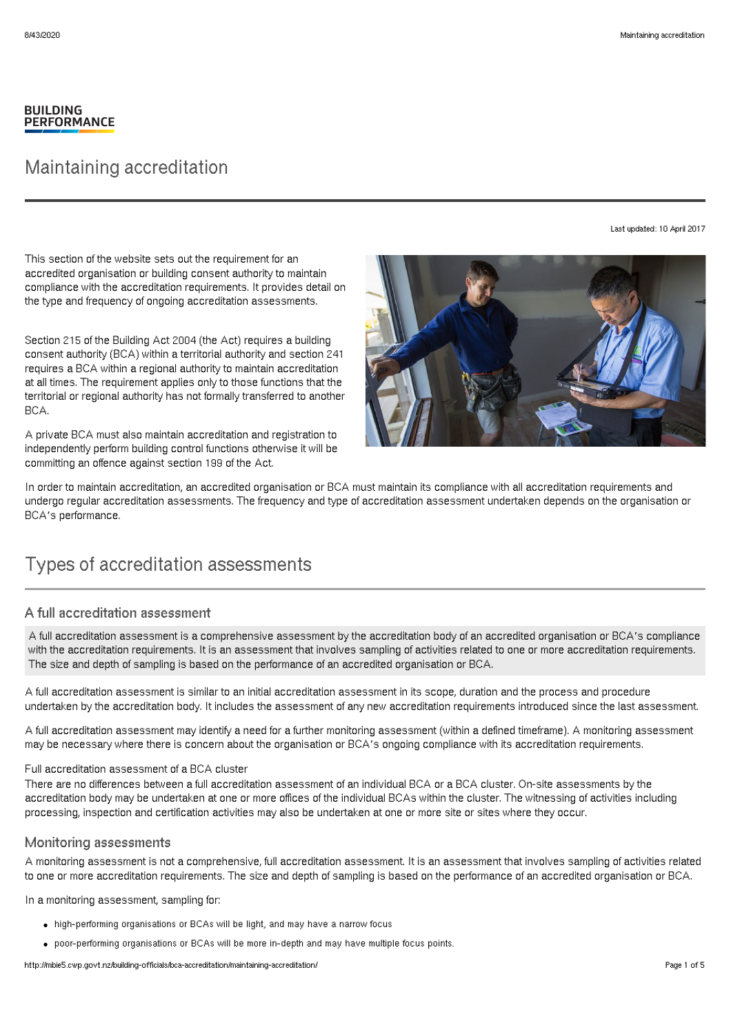#### **BUILDING PERFORMANCE**

## Maintaining accreditation

Last updated: 10 April 2017

This section of the website sets out the requirement for an accredited organisation or building consent authority to maintain compliance with the accreditation requirements. It provides detail on the type and frequency of ongoing accreditation assessments.

Section 215 of the Building Act 2004 (the Act) requires a building consent authority (BCA) within a territorial authority and section 241 requires a BCA within a regional authority to maintain accreditation at all times. The requirement applies only to those functions that the territorial or regional authority has not formally transferred to another BCA.

A private BCA must also maintain accreditation and registration to independently perform building control functions otherwise it will be committing an offence against section 199 of the Act.



In order to maintain accreditation, an accredited organisation or BCA must maintain its compliance with all accreditation requirements and undergo regular accreditation assessments. The frequency and type of accreditation assessment undertaken depends on the organisation or BCA's performance.

# Types of accreditation assessments

### A full accreditation assessment

A full accreditation assessment is a comprehensive assessment by the accreditation body of an accredited organisation or BCA's compliance with the accreditation requirements. It is an assessment that involves sampling of activities related to one or more accreditation requirements. The size and depth of sampling is based on the performance of an accredited organisation or BCA.

A full accreditation assessment is similar to an initial accreditation assessment in its scope, duration and the process and procedure undertaken by the accreditation body. It includes the assessment of any new accreditation requirements introduced since the last assessment.

A full accreditation assessment may identify a need for a further monitoring assessment (within a defined timeframe). A monitoring assessment may be necessary where there is concern about the organisation or BCA's ongoing compliance with its accreditation requirements.

#### Full accreditation assessment of a BCA cluster

There are no differences between a full accreditation assessment of an individual BCA or a BCA cluster. On-site assessments by the accreditation body may be undertaken at one or more offices of the individual BCAs within the cluster. The witnessing of activities including processing, inspection and certification activities may also be undertaken at one or more site or sites where they occur.

#### Monitoring assessments

A monitoring assessment is not a comprehensive, full accreditation assessment. It is an assessment that involves sampling of activities related to one or more accreditation requirements. The size and depth of sampling is based on the performance of an accredited organisation or BCA.

In a monitoring assessment, sampling for:

- high-performing organisations or BCAs will be light, and may have a narrow focus
- poor-performing organisations or BCAs will be more in-depth and may have multiple focus points.

http://mbie5.cwp.govt.nz/building-officials/bca-accreditation/maintaining-accreditation/ Page 1 of 5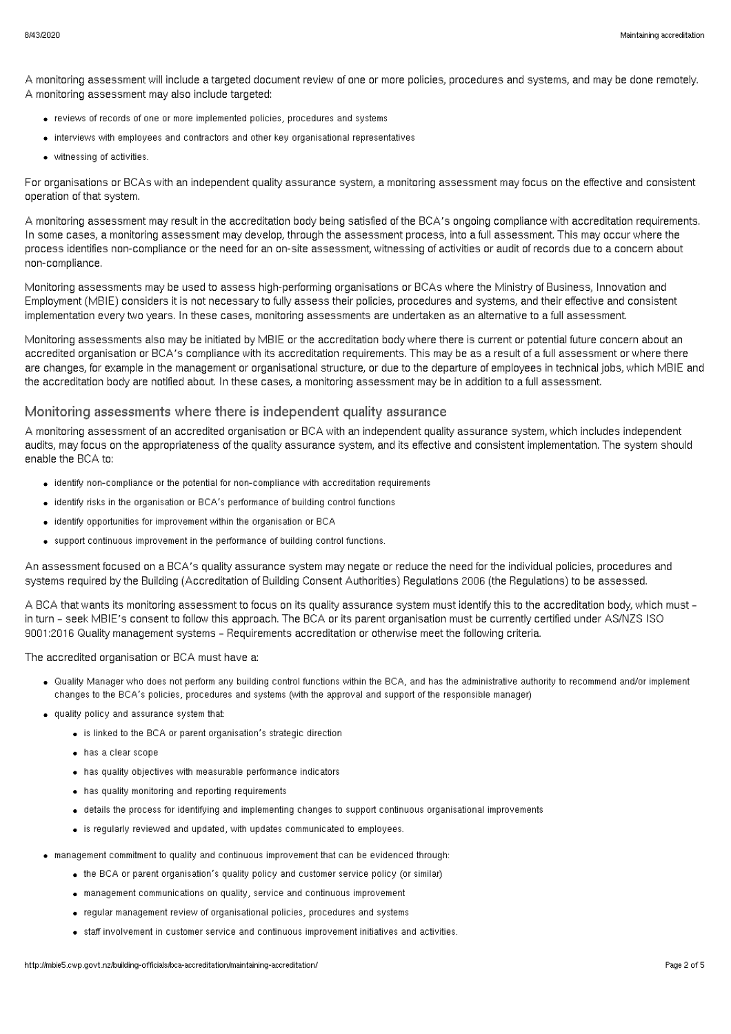A monitoring assessment will include a targeted document review of one or more policies, procedures and systems, and may be done remotely. A monitoring assessment may also include targeted:

- reviews of records of one or more implemented policies, procedures and systems
- interviews with employees and contractors and other key organisational representatives
- witnessing of activities.

For organisations or BCAs with an independent quality assurance system, a monitoring assessment may focus on the effective and consistent operation of that system.

A monitoring assessment may result in the accreditation body being satisfied of the BCA's ongoing compliance with accreditation requirements. In some cases, a monitoring assessment may develop, through the assessment process, into a full assessment. This may occur where the process identifies non-compliance or the need for an on-site assessment, witnessing of activities or audit of records due to a concern about non-compliance.

Monitoring assessments may be used to assess high-performing organisations or BCAs where the Ministry of Business, Innovation and Employment (MBIE) considers it is not necessary to fully assess their policies, procedures and systems, and their effective and consistent implementation every two years. In these cases, monitoring assessments are undertaken as an alternative to a full assessment.

Monitoring assessments also may be initiated by MBIE or the accreditation body where there is current or potential future concern about an accredited organisation or BCA's compliance with its accreditation requirements. This may be as a result of a full assessment or where there are changes, for example in the management or organisational structure, or due to the departure of employees in technical jobs, which MBIE and the accreditation body are notified about. In these cases, a monitoring assessment may be in addition to a full assessment.

#### Monitoring assessments where there is independent quality assurance

A monitoring assessment of an accredited organisation or BCA with an independent quality assurance system, which includes independent audits, may focus on the appropriateness of the quality assurance system, and its effective and consistent implementation. The system should enable the BCA to:

- identify non-compliance or the potential for non-compliance with accreditation requirements
- identify risks in the organisation or BCA's performance of building control functions
- identify opportunities for improvement within the organisation or BCA
- support continuous improvement in the performance of building control functions.

An assessment focused on a BCA's quality assurance system may negate or reduce the need for the individual policies, procedures and systems required by the Building (Accreditation of Building Consent Authorities) Regulations 2006 (the Regulations) to be assessed.

A BCA that wants its monitoring assessment to focus on its quality assurance system must identify this to the accreditation body, which must – in turn – seek MBIE's consent to follow this approach. The BCA or its parent organisation must be currently certified under AS/NZS ISO 9001:2016 Quality management systems – Requirements accreditation or otherwise meet the following criteria.

The accredited organisation or BCA must have a:

- Quality Manager who does not perform any building control functions within the BCA, and has the administrative authority to recommend and/or implement changes to the BCA's policies, procedures and systems (with the approval and support of the responsible manager)
- quality policy and assurance system that:
	- is linked to the BCA or parent organisation's strategic direction
	- has a clear scope
	- has quality objectives with measurable performance indicators
	- has quality monitoring and reporting requirements
	- details the process for identifying and implementing changes to support continuous organisational improvements
	- is regularly reviewed and updated, with updates communicated to employees.
- management commitment to quality and continuous improvement that can be evidenced through:
	- the BCA or parent organisation's quality policy and customer service policy (or similar)
	- management communications on quality, service and continuous improvement
	- regular management review of organisational policies, procedures and systems
	- staff involvement in customer service and continuous improvement initiatives and activities.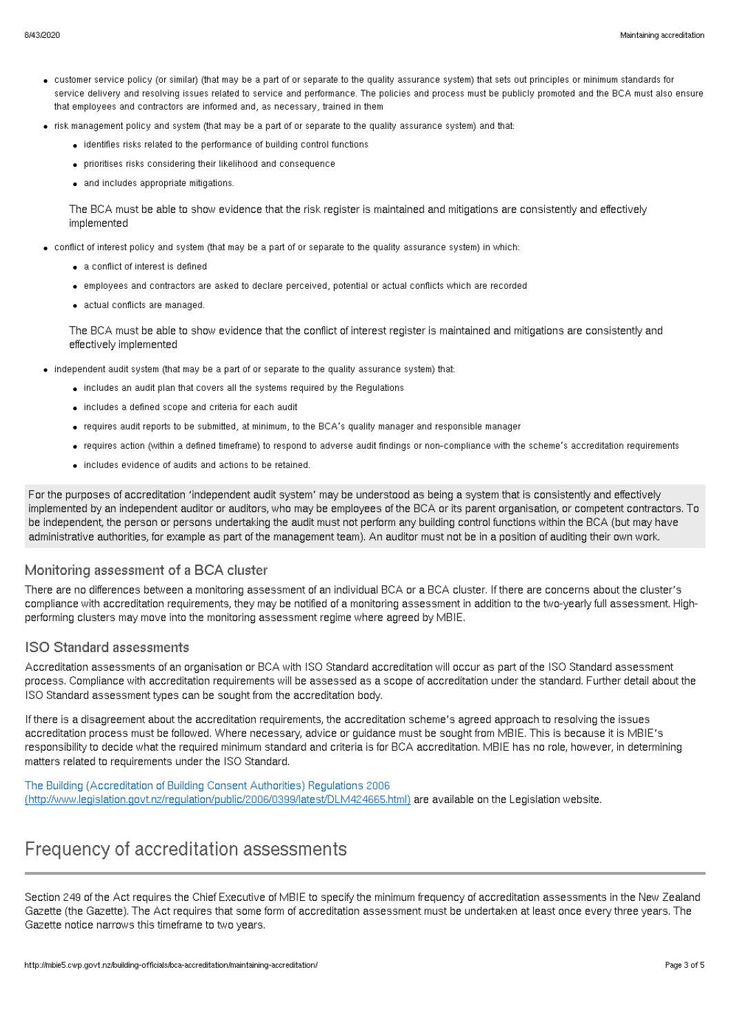- customer service policy (or similar) (that may be a part of or separate to the quality assurance system) that sets out principles or minimum standards for service delivery and resolving issues related to service and performance. The policies and process must be publicly promoted and the BCA must also ensure that employees and contractors are informed and, as necessary, trained in them
- risk management policy and system (that may be a part of or separate to the quality assurance system) and that:
	- identifies risks related to the performance of building control functions
	- prioritises risks considering their likelihood and consequence
	- and includes appropriate mitigations.

The BCA must be able to show evidence that the risk register is maintained and mitigations are consistently and effectively implemented

- conflict of interest policy and system (that may be a part of or separate to the quality assurance system) in which:
	- a conflict of interest is defined
	- employees and contractors are asked to declare perceived, potential or actual conflicts which are recorded
	- actual conflicts are managed.

The BCA must be able to show evidence that the conflict of interest register is maintained and mitigations are consistently and effectively implemented

- independent audit system (that may be a part of or separate to the quality assurance system) that:
	- includes an audit plan that covers all the systems required by the Regulations
	- includes a defined scope and criteria for each audit
	- requires audit reports to be submitted, at minimum, to the BCA's quality manager and responsible manager
	- requires action (within a defined timeframe) to respond to adverse audit findings or non-compliance with the scheme's accreditation requirements
	- includes evidence of audits and actions to be retained.

For the purposes of accreditation 'independent audit system' may be understood as being a system that is consistently and effectively implemented by an independent auditor or auditors, who may be employees of the BCA or its parent organisation, or competent contractors. To be independent, the person or persons undertaking the audit must not perform any building control functions within the BCA (but may have administrative authorities, for example as part of the management team). An auditor must not be in a position of auditing their own work.

#### Monitoring assessment of a BCA cluster

There are no differences between a monitoring assessment of an individual BCA or a BCA cluster. If there are concerns about the cluster's compliance with accreditation requirements, they may be notified of a monitoring assessment in addition to the two-yearly full assessment. Highperforming clusters may move into the monitoring assessment regime where agreed by MBIE.

#### ISO Standard assessments

Accreditation assessments of an organisation or BCA with ISO Standard accreditation will occur as part of the ISO Standard assessment process. Compliance with accreditation requirements will be assessed as a scope of accreditation under the standard. Further detail about the ISO Standard assessment types can be sought from the accreditation body.

If there is a disagreement about the accreditation requirements, the accreditation scheme's agreed approach to resolving the issues accreditation process must be followed. Where necessary, advice or guidance must be sought from MBIE. This is because it is MBIE's responsibility to decide what the required minimum standard and criteria is for BCA accreditation. MBIE has no role, however, in determining matters related to requirements under the ISO Standard.

#### The Building (Accreditation of Building Consent Authorities) Regulations 2006 [\(http://www.legislation.govt.nz/regulation/public/2006/0399/latest/DLM424665.html\)](http://www.legislation.govt.nz/regulation/public/2006/0399/latest/DLM424665.html) are available on the Legislation website.

## Frequency of accreditation assessments

Section 249 of the Act requires the Chief Executive of MBIE to specify the minimum frequency of accreditation assessments in the New Zealand Gazette (the Gazette). The Act requires that some form of accreditation assessment must be undertaken at least once every three years. The Gazette notice narrows this timeframe to two years.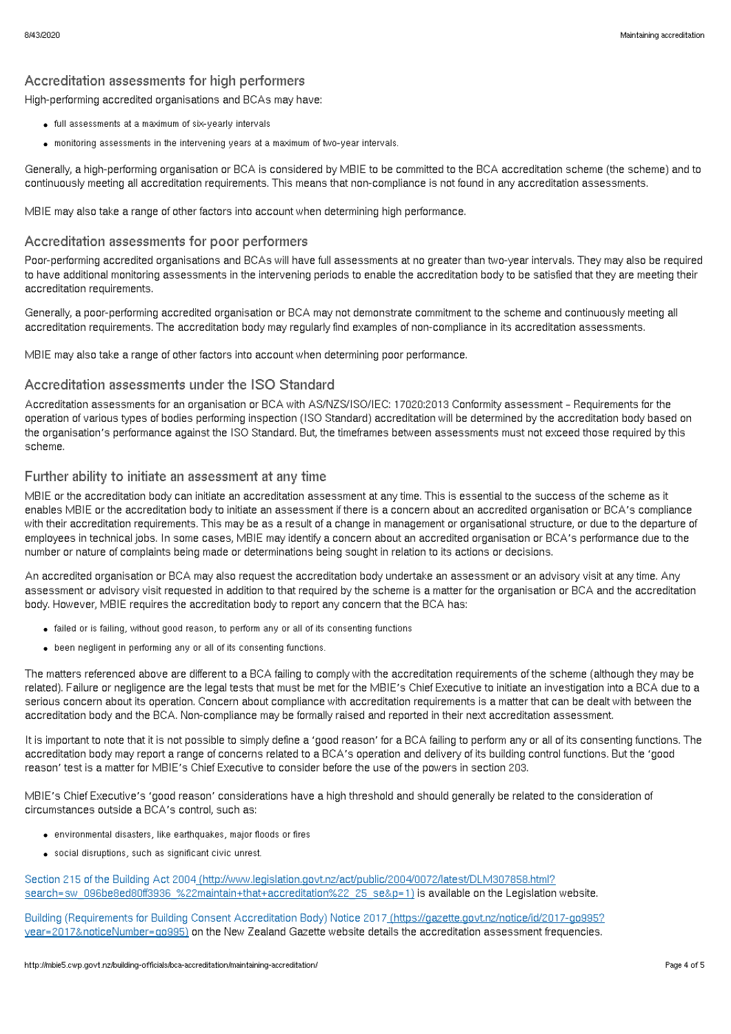### Accreditation assessments for high performers

High-performing accredited organisations and BCAs may have:

- full assessments at a maximum of six-yearly intervals
- monitoring assessments in the intervening years at a maximum of two-year intervals.

Generally, a high-performing organisation or BCA is considered by MBIE to be committed to the BCA accreditation scheme (the scheme) and to continuously meeting all accreditation requirements. This means that non-compliance is not found in any accreditation assessments.

MBIE may also take a range of other factors into account when determining high performance.

#### Accreditation assessments for poor performers

Poor-performing accredited organisations and BCAs will have full assessments at no greater than two-year intervals. They may also be required to have additional monitoring assessments in the intervening periods to enable the accreditation body to be satisfied that they are meeting their accreditation requirements.

Generally, a poor-performing accredited organisation or BCA may not demonstrate commitment to the scheme and continuously meeting all accreditation requirements. The accreditation body may regularly find examples of non-compliance in its accreditation assessments.

MBIE may also take a range of other factors into account when determining poor performance.

#### Accreditation assessments under the ISO Standard

Accreditation assessments for an organisation or BCA with AS/NZS/ISO/IEC: 17020:2013 Conformity assessment – Requirements for the operation of various types of bodies performing inspection (ISO Standard) accreditation will be determined by the accreditation body based on the organisation's performance against the ISO Standard. But, the timeframes between assessments must not exceed those required by this scheme.

#### Further ability to initiate an assessment at any time

MBIE or the accreditation body can initiate an accreditation assessment at any time. This is essential to the success of the scheme as it enables MBIE or the accreditation body to initiate an assessment if there is a concern about an accredited organisation or BCA's compliance with their accreditation requirements. This may be as a result of a change in management or organisational structure, or due to the departure of employees in technical jobs. In some cases, MBIE may identify a concern about an accredited organisation or BCA's performance due to the number or nature of complaints being made or determinations being sought in relation to its actions or decisions.

An accredited organisation or BCA may also request the accreditation body undertake an assessment or an advisory visit at any time. Any assessment or advisory visit requested in addition to that required by the scheme is a matter for the organisation or BCA and the accreditation body. However, MBIE requires the accreditation body to report any concern that the BCA has:

- failed or is failing, without good reason, to perform any or all of its consenting functions
- been negligent in performing any or all of its consenting functions.

The matters referenced above are different to a BCA failing to comply with the accreditation requirements of the scheme (although they may be related). Failure or negligence are the legal tests that must be met for the MBIE's Chief Executive to initiate an investigation into a BCA due to a serious concern about its operation. Concern about compliance with accreditation requirements is a matter that can be dealt with between the accreditation body and the BCA. Non-compliance may be formally raised and reported in their next accreditation assessment.

It is important to note that it is not possible to simply define a 'good reason' for a BCA failing to perform any or all of its consenting functions. The accreditation body may report a range of concerns related to a BCA's operation and delivery of its building control functions. But the 'good reason' test is a matter for MBIE's Chief Executive to consider before the use of the powers in section 203.

MBIE's Chief Executive's 'good reason' considerations have a high threshold and should generally be related to the consideration of circumstances outside a BCA's control, such as:

- environmental disasters, like earthquakes, major floods or fires
- social disruptions, such as significant civic unrest.

Section 215 of the Building Act 2004 (http://www.legislation.govt.nz/act/public/2004/0072/latest/DLM307858.html? [search=sw\\_096be8ed80ff3936\\_%22maintain+that+accreditation%22\\_25\\_se&p=1\)](http://www.legislation.govt.nz/act/public/2004/0072/latest/DLM307858.html?search=sw_096be8ed80ff3936_%2522maintain+that+accreditation%2522_25_se&p=1) is available on the Legislation website.

Building (Requirements for Building Consent Accreditation Body) Notice 2017 [\(https://gazette.govt.nz/notice/id/2017-go995?](https://gazette.govt.nz/notice/id/2017-go995?year=2017¬iceNumber=go995) year=2017&noticeNumber=go995) on the New Zealand Gazette website details the accreditation assessment frequencies.